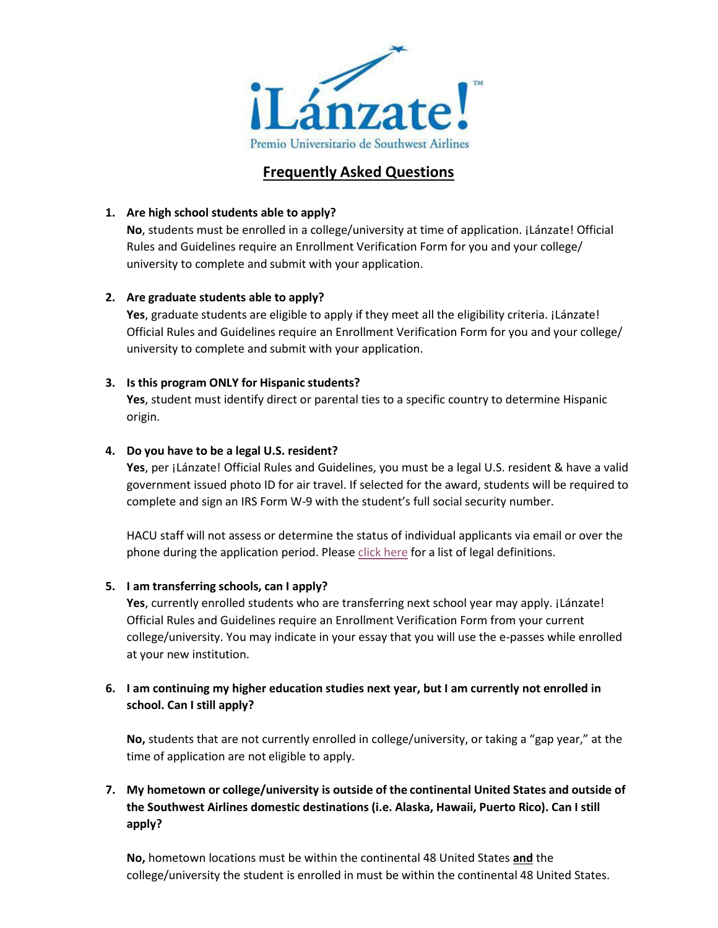

# **Frequently Asked Questions**

#### **1. Are high school students able to apply?**

**No**, students must be enrolled in a college/university at time of application. ¡Lánzate! Official Rules and Guidelines require an Enrollment Verification Form for you and your college/ university to complete and submit with your application.

#### **2. Are graduate students able to apply?**

Yes, graduate students are eligible to apply if they meet all the eligibility criteria. ¡Lánzate! Official Rules and Guidelines require an Enrollment Verification Form for you and your college/ university to complete and submit with your application.

#### **3. Is this program ONLY for Hispanic students?**

**Yes**, student must identify direct or parental ties to a specific country to determine Hispanic origin.

#### **4. Do you have to be a legal U.S. resident?**

Yes, per *¡Lánzate! Official Rules and Guidelines*, you must be a legal U.S. resident & have a valid government issued photo ID for air travel. If selected for the award, students will be required to complete and sign an IRS Form W-9 with the student's full social security number.

HACU staff will not assess or determine the status of individual applicants via email or over the phone during the application period. Please click [here](https://www.uscis.gov/tools/glossary?topic_id=l&alpha-listing) for a list of legal definitions.

## **5. I am transferring schools, can I apply?**

**Yes**, currently enrolled students who are transferring next school year may apply. ¡Lánzate! Official Rules and Guidelines require an Enrollment Verification Form from your current college/university. You may indicate in your essay that you will use the e-passes while enrolled at your new institution.

## **6. I am continuing my higher education studies next year, but I am currently not enrolled in school. Can I still apply?**

**No,** students that are not currently enrolled in college/university, or taking a "gap year," at the time of application are not eligible to apply.

# **7. My hometown or college/university is outside of the continental United States and outside of the Southwest Airlines domestic destinations (i.e. Alaska, Hawaii, Puerto Rico). Can I still apply?**

**No,** hometown locations must be within the continental 48 United States **and** the college/university the student is enrolled in must be within the continental 48 United States.